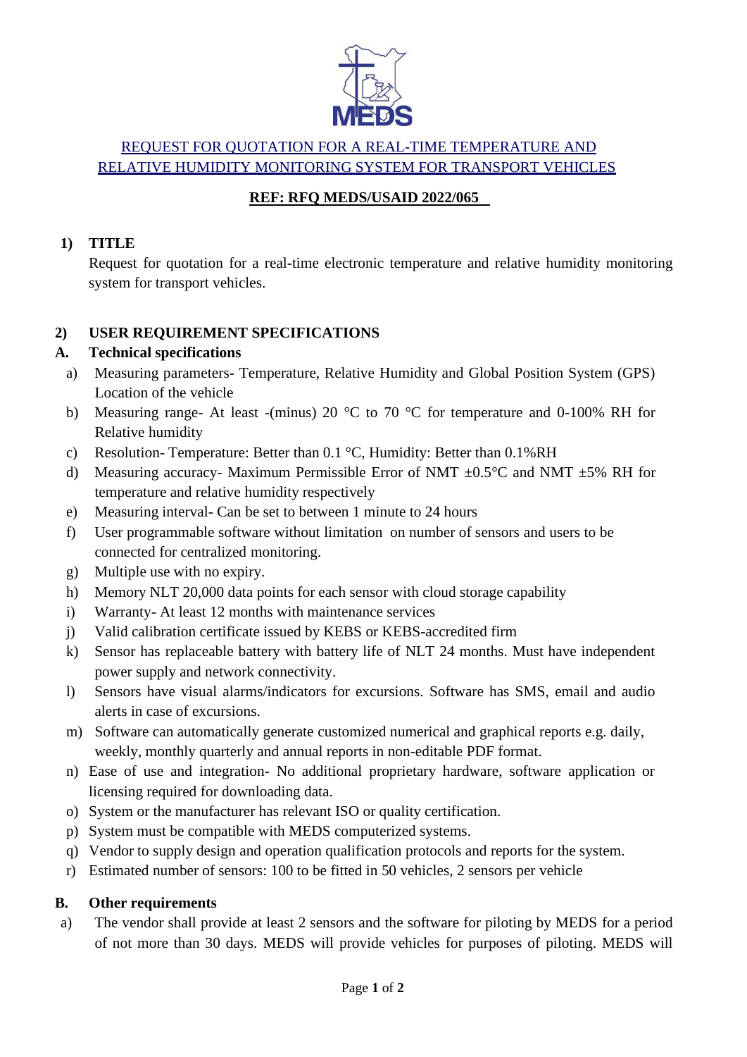

# REQUEST FOR QUOTATION FOR A REAL-TIME TEMPERATURE AND RELATIVE HUMIDITY MONITORING SYSTEM FOR TRANSPORT VEHICLES

#### **REF: RFQ MEDS/USAID 2022/065**

#### **1) TITLE**

Request for quotation for a real-time electronic temperature and relative humidity monitoring system for transport vehicles.

## **2) USER REQUIREMENT SPECIFICATIONS**

## **A. Technical specifications**

- a) Measuring parameters- Temperature, Relative Humidity and Global Position System (GPS) Location of the vehicle
- b) Measuring range- At least -(minus) 20 °C to 70 °C for temperature and 0-100% RH for Relative humidity
- c) Resolution- Temperature: Better than 0.1 °C, Humidity: Better than 0.1%RH
- d) Measuring accuracy- Maximum Permissible Error of NMT  $\pm$ 0.5°C and NMT  $\pm$ 5% RH for temperature and relative humidity respectively
- e) Measuring interval- Can be set to between 1 minute to 24 hours
- f) User programmable software without limitation on number of sensors and users to be connected for centralized monitoring.
- g) Multiple use with no expiry.
- h) Memory NLT 20,000 data points for each sensor with cloud storage capability
- i) Warranty- At least 12 months with maintenance services
- j) Valid calibration certificate issued by KEBS or KEBS-accredited firm
- k) Sensor has replaceable battery with battery life of NLT 24 months. Must have independent power supply and network connectivity.
- l) Sensors have visual alarms/indicators for excursions. Software has SMS, email and audio alerts in case of excursions.
- m) Software can automatically generate customized numerical and graphical reports e.g. daily, weekly, monthly quarterly and annual reports in non-editable PDF format.
- n) Ease of use and integration- No additional proprietary hardware, software application or licensing required for downloading data.
- o) System or the manufacturer has relevant ISO or quality certification.
- p) System must be compatible with MEDS computerized systems.
- q) Vendor to supply design and operation qualification protocols and reports for the system.
- r) Estimated number of sensors: 100 to be fitted in 50 vehicles, 2 sensors per vehicle

#### **B. Other requirements**

a) The vendor shall provide at least 2 sensors and the software for piloting by MEDS for a period of not more than 30 days. MEDS will provide vehicles for purposes of piloting. MEDS will